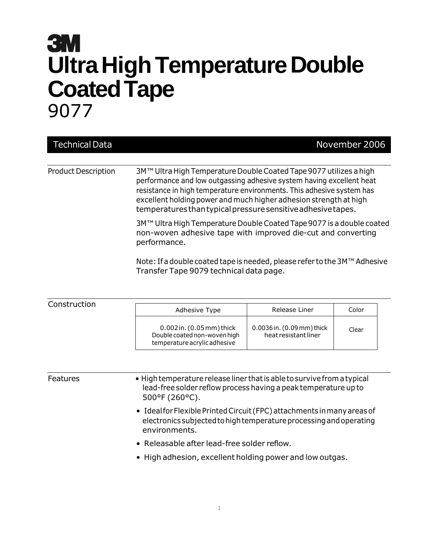## **3M Ultra High Temperature Double Coated Tape** 9077

| <b>Technical Data</b>      | November 2006                                                                                                                                                                                                                                                                                                                                            |
|----------------------------|----------------------------------------------------------------------------------------------------------------------------------------------------------------------------------------------------------------------------------------------------------------------------------------------------------------------------------------------------------|
|                            |                                                                                                                                                                                                                                                                                                                                                          |
| <b>Product Description</b> | 3M™ Ultra High Temperature Double Coated Tape 9077 utilizes a high<br>performance and low outgassing adhesive system having excellent heat<br>resistance in high temperature environments. This adhesive system has<br>excellent holding power and much higher adhesion strength at high<br>temperatures than typical pressure sensitive adhesive tapes. |
|                            | 3M™ Ultra High Temperature Double Coated Tape 9077 is a double coated<br>non-woven adhesive tape with improved die-cut and converting<br>performance.                                                                                                                                                                                                    |
|                            | Note: If a double coated tape is needed, please refer to the 3M™ Adhesive<br>Transfer Tape 9079 technical data page.                                                                                                                                                                                                                                     |

| Construction | Adhesive Type                                                                                 | Release Liner                                      | Color |
|--------------|-----------------------------------------------------------------------------------------------|----------------------------------------------------|-------|
|              | $0.002$ in. $(0.05$ mm) thick<br>Double coated non-woven high<br>temperature acrylic adhesive | 0.0036 in. (0.09 mm) thick<br>heat resistant liner | Clear |

| <b>Features</b> | • High temperature release liner that is able to survive from a typical<br>lead-free solder reflow process having a peak temperature up to<br>500°F (260°C).   |
|-----------------|----------------------------------------------------------------------------------------------------------------------------------------------------------------|
|                 | • Ideal for Flexible Printed Circuit (FPC) attachments in many areas of<br>electronics subjected to high temperature processing and operating<br>environments. |
|                 | • Releasable after lead-free solder reflow.                                                                                                                    |
|                 | • High adhesion, excellent holding power and low outgas.                                                                                                       |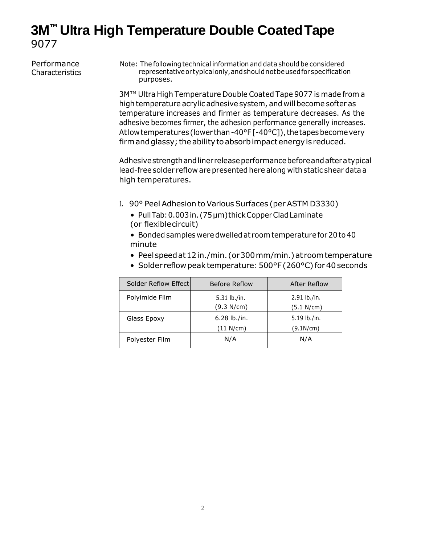## **3M™ Ultra High Temperature Double CoatedTape** 9077

| Performance<br>Characteristics | Note: The following technical information and data should be considered<br>representative or typical only, and should not be used for specification<br>purposes. |                                                                                                                                                                                                                                                                                                                                                                                                                                      |                            |  |  |
|--------------------------------|------------------------------------------------------------------------------------------------------------------------------------------------------------------|--------------------------------------------------------------------------------------------------------------------------------------------------------------------------------------------------------------------------------------------------------------------------------------------------------------------------------------------------------------------------------------------------------------------------------------|----------------------------|--|--|
|                                |                                                                                                                                                                  | 3M™ Ultra High Temperature Double Coated Tape 9077 is made from a<br>high temperature acrylic adhesive system, and will become softer as<br>temperature increases and firmer as temperature decreases. As the<br>adhesive becomes firmer, the adhesion performance generally increases.<br>At low temperatures (lower than -40°F [-40°C]), the tapes become very<br>firm and glassy; the ability to absorb impact energy is reduced. |                            |  |  |
|                                | high temperatures.                                                                                                                                               | Adhesive strength and liner release performance before and after a typical<br>lead-free solder reflow are presented here along with static shear data a                                                                                                                                                                                                                                                                              |                            |  |  |
|                                | minute                                                                                                                                                           | 1. 90° Peel Adhesion to Various Surfaces (per ASTM D3330)<br>• Pull Tab: 0.003 in. (75 µm) thick Copper Clad Laminate<br>(or flexiblecircuit)<br>• Bonded samples were dwelled at room temperature for 20 to 40<br>• Peel speed at 12 in./min. (or 300 mm/min.) at room temperature<br>• Solder reflow peak temperature: 500°F (260°C) for 40 seconds                                                                                |                            |  |  |
|                                | Solder Reflow Effect                                                                                                                                             | Before Reflow                                                                                                                                                                                                                                                                                                                                                                                                                        | <b>After Reflow</b>        |  |  |
|                                | Polyimide Film                                                                                                                                                   | 5.31 lb./in.<br>(9.3 N/cm)                                                                                                                                                                                                                                                                                                                                                                                                           | 2.91 lb./in.<br>(5.1 N/cm) |  |  |
|                                | Glass Epoxy                                                                                                                                                      | 6.28 lb./in.<br>(11 N/cm)                                                                                                                                                                                                                                                                                                                                                                                                            | 5.19 lb./in.<br>(9.1N/cm)  |  |  |
|                                | Polyester Film                                                                                                                                                   | N/A                                                                                                                                                                                                                                                                                                                                                                                                                                  | N/A                        |  |  |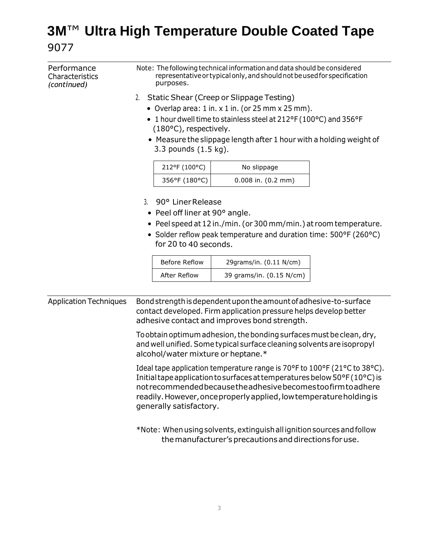## **3M**™ **Ultra High Temperature Double Coated Tape** 9077

| Performance<br>Characteristics<br>(continued) | Note: The following technical information and data should be considered<br>representative or typical only, and should not be used for specification<br>purposes. |                                                                                                                                                                                                                                                                                                 |  |
|-----------------------------------------------|------------------------------------------------------------------------------------------------------------------------------------------------------------------|-------------------------------------------------------------------------------------------------------------------------------------------------------------------------------------------------------------------------------------------------------------------------------------------------|--|
|                                               | Static Shear (Creep or Slippage Testing)<br>2.                                                                                                                   |                                                                                                                                                                                                                                                                                                 |  |
|                                               | • Overlap area: $1$ in. $x$ $1$ in. (or $25$ mm $x$ $25$ mm).                                                                                                    |                                                                                                                                                                                                                                                                                                 |  |
|                                               | • 1 hour dwell time to stainless steel at 212°F (100°C) and 356°F<br>(180°C), respectively.                                                                      |                                                                                                                                                                                                                                                                                                 |  |
|                                               | 3.3 pounds (1.5 kg).                                                                                                                                             | • Measure the slippage length after 1 hour with a holding weight of                                                                                                                                                                                                                             |  |
|                                               | 212°F (100°C)                                                                                                                                                    | No slippage                                                                                                                                                                                                                                                                                     |  |
|                                               | 356°F (180°C)                                                                                                                                                    | $0.008$ in. $(0.2$ mm)                                                                                                                                                                                                                                                                          |  |
|                                               | 3.<br>90° Liner Release<br>• Peel off liner at 90° angle.                                                                                                        |                                                                                                                                                                                                                                                                                                 |  |
|                                               | • Peel speed at 12 in./min. (or 300 mm/min.) at room temperature.                                                                                                |                                                                                                                                                                                                                                                                                                 |  |
|                                               | • Solder reflow peak temperature and duration time: 500°F (260°C)<br>for 20 to 40 seconds.                                                                       |                                                                                                                                                                                                                                                                                                 |  |
|                                               | <b>Before Reflow</b>                                                                                                                                             | 29grams/in. (0.11 N/cm)                                                                                                                                                                                                                                                                         |  |
|                                               | After Reflow                                                                                                                                                     | 39 grams/in. (0.15 N/cm)                                                                                                                                                                                                                                                                        |  |
|                                               |                                                                                                                                                                  |                                                                                                                                                                                                                                                                                                 |  |
| <b>Application Techniques</b>                 | adhesive contact and improves bond strength.                                                                                                                     | Bond strength is dependent upon the amount of adhesive-to-surface<br>contact developed. Firm application pressure helps develop better                                                                                                                                                          |  |
|                                               | alcohol/water mixture or heptane.*                                                                                                                               | To obtain optimum adhesion, the bonding surfaces must be clean, dry,<br>and well unified. Some typical surface cleaning solvents are isopropyl                                                                                                                                                  |  |
|                                               | generally satisfactory.                                                                                                                                          | Ideal tape application temperature range is 70°F to 100°F (21°C to 38°C).<br>Initial tape application to surfaces at temperatures below 50°F (10°C) is<br>notrecommended because the adhesive becomesto of irm to adhere<br>readily. However, once properly applied, low temperature holding is |  |
|                                               |                                                                                                                                                                  | *Note: When using solvents, extinguish all ignition sources and follow<br>the manufacturer's precautions and directions for use.                                                                                                                                                                |  |